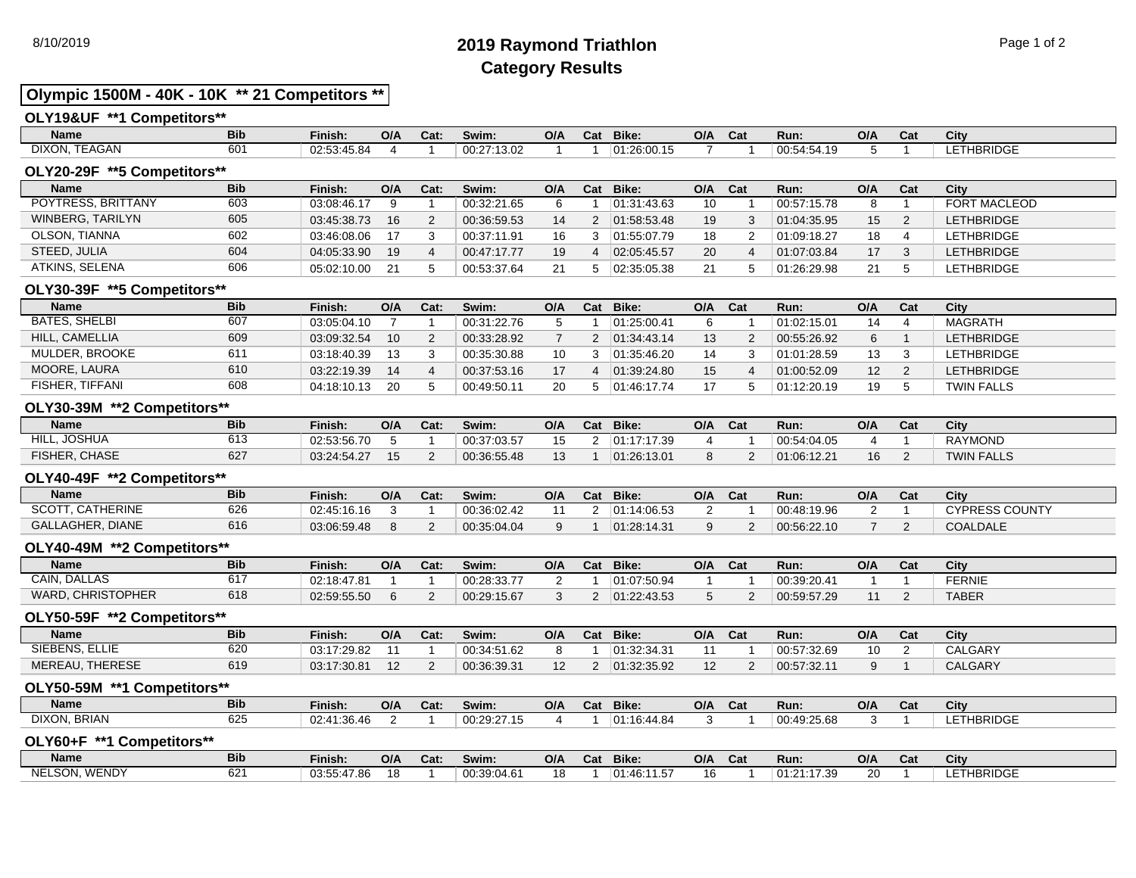# 8/10/2019 **2019 Raymond Triathlon** Page 1 of 2 **Category Results**

## **Olympic 1500M - 40K - 10K \*\* 21 Competitors \*\***

## **OLY19&UF \*\*1 Competitors\*\***

| <b>Name</b>                  | <b>Bib</b>   | Finish:           | O/A | Cat. | Swim: .     | O/A | Cat | Bike:       | O/A | $\mathbf{r}$<br>∪dt | Run.                                               | O/A | Cat | ึับแ              |
|------------------------------|--------------|-------------------|-----|------|-------------|-----|-----|-------------|-----|---------------------|----------------------------------------------------|-----|-----|-------------------|
| $     -$<br>DIXON.<br>TEAGAN | $\sim$<br>oυ | 02:53.<br>3:45.84 |     |      | 00.27:13.02 |     |     | 01:26:00.15 |     |                     | 00:54:54<br>$\overline{\phantom{a}}$<br>- <u>.</u> |     |     | <b>LETHBRIDGE</b> |

## **OLY20-29F \*\*5 Competitors\*\***

| <b>Name</b>        | <b>Bib</b> | Finish:     | O/A | Cat:   | Swim:       | O/A | Cat | Bike:       | O/A | Cat | Run:        | O/A | Cat | City              |
|--------------------|------------|-------------|-----|--------|-------------|-----|-----|-------------|-----|-----|-------------|-----|-----|-------------------|
| POYTRESS, BRITTANY | 603        | 03:08:46.17 |     |        | 00:32:21.65 |     |     | 01:31:43.63 | 10  |     | 00:57:15.78 |     |     | FORT MACLEOD      |
| WINBERG, TARILYN   | 605        | 03:45:38.73 | 16  | $\sim$ | 00:36:59.53 | 14  |     | 01:58:53.48 | 19  |     | 01:04:35.95 | 15  |     | <b>LETHBRIDGE</b> |
| OLSON, TIANNA      | 602        | 03:46:08.06 |     |        | 00:37:11.91 |     |     | 01:55:07.79 | 18  |     | 01:09:18.27 | 18  |     | LETHBRIDGE        |
| STEED, JULIA       | 604        | 04:05:33.90 | 19  |        | 00:47:17.77 | 19  |     | 02:05:45.57 | 20  |     | 01:07:03.84 | 17  |     | <b>LETHBRIDGE</b> |
| ATKINS, SELENA     | 606        | 05:02:10.00 |     |        | 00:53:37.64 | 21  |     | 02:35:05.38 |     |     | 01:26:29.98 | 21  |     | LETHBRIDGE        |

## **OLY30-39F \*\*5 Competitors\*\***

| <b>Name</b>          | <b>Bib</b> | Finish:     | O/A | Cat:         | Swim:       | O/A | Cat | Bike:       | O/A | <b>Cat</b> | Run:        | O/A | Cat | City              |
|----------------------|------------|-------------|-----|--------------|-------------|-----|-----|-------------|-----|------------|-------------|-----|-----|-------------------|
| <b>BATES, SHELBI</b> | 607        | 03:05:04.10 |     |              | 00:31:22.76 |     |     | 01:25:00.41 |     |            | 01:02:15.01 | 14  |     | <b>MAGRATH</b>    |
| HILL, CAMELLIA       | 609        | 03:09:32.54 | 10  | <sup>o</sup> | 00:33:28.92 |     |     | 01:34:43.14 |     |            | 00:55:26.92 | 6   |     | <b>LETHBRIDGE</b> |
| MULDER, BROOKE       | 611        | 03:18:40.39 |     |              | 00:35:30.88 | 10  |     | 01:35:46.20 |     |            | 01:01:28.59 | 13  |     | <b>LETHBRIDGE</b> |
| MOORE, LAURA         | 610        | 03:22:19.39 | 14  |              | 00:37:53.16 | 17  |     | 01:39:24.80 |     |            | 01:00:52.09 | 12  |     | <b>LETHBRIDGE</b> |
| FISHER, TIFFANI      | 608        | 04:18:10.13 | 20  |              | 00:49:50.11 | 20  |     | 01:46:17.74 |     |            | 01:12:20.19 | 19  |     | <b>TWIN FALLS</b> |

## **OLY30-39M \*\*2 Competitors\*\***

| Name                 | <b>Bib</b> | Finish:     | O/A | Cat: | Swim:       | O/A | Cat | Bike:       | O/A | Cat | Run:        | O/A | Cat | City              |
|----------------------|------------|-------------|-----|------|-------------|-----|-----|-------------|-----|-----|-------------|-----|-----|-------------------|
| , JOSHUA<br>HILL.    | 613        | 02:53:56.70 |     |      | 00:37:03.57 |     |     | 01:17:17.39 |     |     | 00:54:04.05 |     |     | <b>RAYMOND</b>    |
| <b>FISHER, CHASE</b> | 627        | 03:24:54.27 |     |      | 00:36:55.48 |     |     | 01:26:13.01 |     |     | 01:06:12.21 | 16  |     | <b>TWIN FALLS</b> |

## **OLY40-49F \*\*2 Competitors\*\***

| <b>Name</b>                       | <b>Bib</b> | Finish.     | O/A | Cat: | Swim:       | O/A | Cat | Bike:       | O/A | Cat | Run:        | O/A | Cat | City                  |
|-----------------------------------|------------|-------------|-----|------|-------------|-----|-----|-------------|-----|-----|-------------|-----|-----|-----------------------|
| SCOTT.<br>. CATHERINE             | 626        | 02:45:16.16 |     |      | 00:36:02.42 |     |     | :14.06.53   |     |     | 00:48:19.96 |     |     | <b>CYPRESS COUNTY</b> |
| <b>GALLAGHER.</b><br><b>DIANE</b> | 616        | 03:06:59.48 |     |      | 00:35:04.04 |     |     | 01:28:14.31 |     |     | 00:56:22.10 |     |     | <b>COALDALE</b>       |

## **OLY40-49M \*\*2 Competitors\*\***

| Name                     | <b>Bib</b> | Finish:     | O/A | Cat: | Swim:       | O/A     | Cat | Bike:       | O/A | Cat | Run:        | O/A | r.<br>∿a⊾ | City          |
|--------------------------|------------|-------------|-----|------|-------------|---------|-----|-------------|-----|-----|-------------|-----|-----------|---------------|
| <b>CAIN, DALLAS</b>      |            | 02:18:47.81 |     |      | 00:28:33.77 |         |     | 01:07:50.94 |     |     | 00:39:20.41 |     |           | <b>FERNIE</b> |
| <b>WARD, CHRISTOPHER</b> | 618        | 02:59:55.50 |     |      | 00:29:15.67 | $\cdot$ |     | 01:22:43.53 |     |     | 00:59:57.29 |     |           | <b>TABER</b>  |

## **OLY50-59F \*\*2 Competitors\*\***

| <b>Name</b>               | <b>Bib</b> | Finish:     | O/A                  | Cat: | Swim:       | O/A | Cat | Bike:       | O/A | Cat | Run:        | O/A | Cat | City           |
|---------------------------|------------|-------------|----------------------|------|-------------|-----|-----|-------------|-----|-----|-------------|-----|-----|----------------|
| SIEBENS, ELLIE            | 620        | 03:17:29.82 |                      |      | 00:34:51.62 |     |     | 01:32:34.31 |     |     | 00.57.32.69 | 10  |     | CALGARY        |
| <b>THERESE</b><br>MEREAU. | 619        | 03:17:30.81 | $\overline{ }$<br>١۷ |      | 00:36:39.31 |     |     | 01:32:35.92 |     |     | 00:57:32.11 |     |     | <b>CALGARY</b> |

## **OLY50-59M \*\*1 Competitors\*\***

| Name         | <b>Bib</b> | Finish:             | O/A | Cat. | Swim:              | O/A | Cat | Bike:                      | O/A | Cat | Run:        | O/A | Cat | City             |
|--------------|------------|---------------------|-----|------|--------------------|-----|-----|----------------------------|-----|-----|-------------|-----|-----|------------------|
| DIXON, BRIAN | ວ∠ວ        | 02:41:36.<br>.36.4t |     |      | $^{+}$ 00:29:27.1. |     |     | $ 01:16\rangle$<br>3.44.84 |     |     | 00:49:25.68 |     |     | <b>ETHBRIDGE</b> |

#### **OLY60+F \*\*1 Competitors\*\***

| <b>Name</b>   | <b>Bib</b>   | Finish:     | O/A | <b>Cat</b> | Swim:       | O/A | Cat | <b>Bike:</b>               | O/A | $\sim$<br>val | Run:           | O/A | Cat | City              |
|---------------|--------------|-------------|-----|------------|-------------|-----|-----|----------------------------|-----|---------------|----------------|-----|-----|-------------------|
| NELSON, WENDY | $\sim$<br>ο∠ | 03:55:47.86 | 18  |            | 00:39:04.61 |     |     | --<br>46.11<br>⊥01.<br>ט+. | ın  |               | 17.39<br>01:21 | 20  |     | <b>LETHBRIDGE</b> |